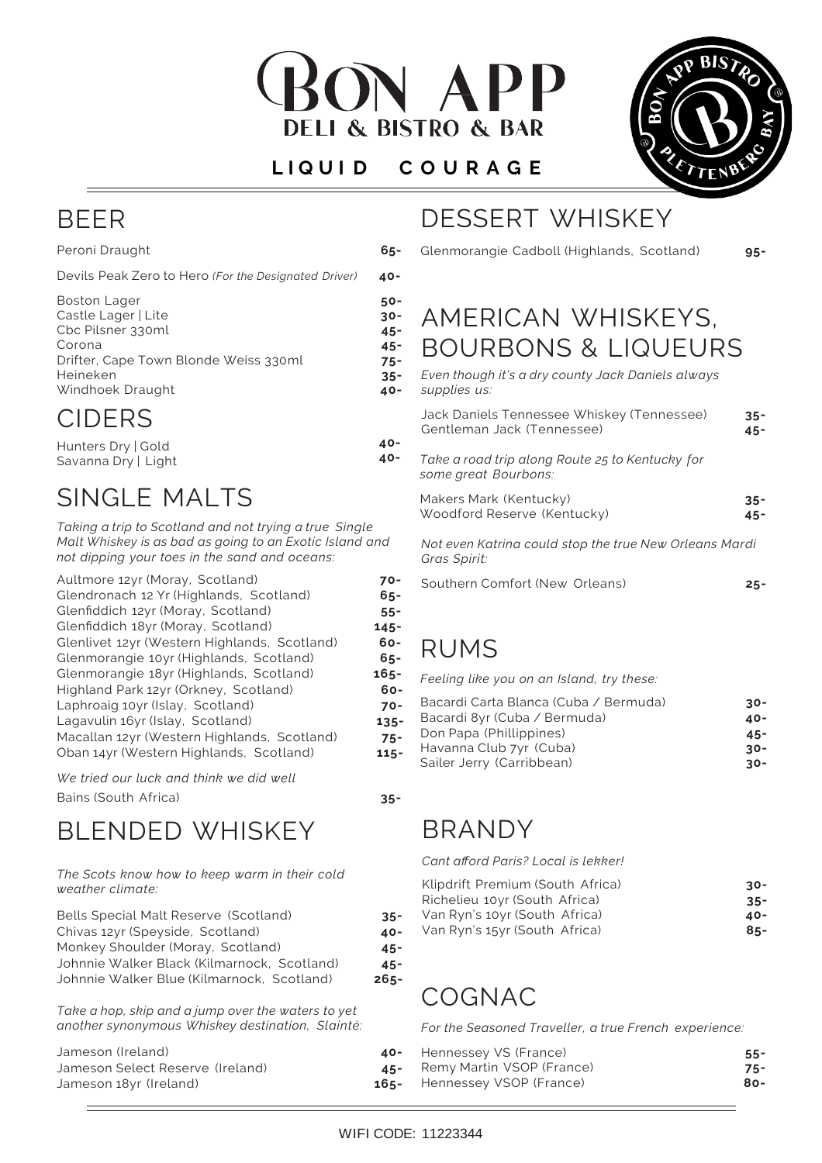

#### **L I Q U I D C O U R A G E**

**50- 30- 45- 45- 75- 35- 40-**

**40- 40-**



#### BEER

Peroni Draught Devils Peak Zero to Hero *(For the Designated Driver)* **40-**

| <b>Boston Lager</b>                   |
|---------------------------------------|
|                                       |
| Castle Lager   Lite                   |
| Cbc Pilsner 330ml                     |
| Corona                                |
| Drifter, Cape Town Blonde Weiss 330ml |
| Heineken                              |
| Windhoek Draught                      |
|                                       |

## CIDERS

Hunters Dry | Gold Savanna Dry | Light

# SINGLE MALTS

*Taking a trip to Scotland and not trying a true Single Malt Whiskey is as bad as going to an Exotic Island and not dipping your toes in the sand and oceans:*

| Aultmore 12yr (Moray, Scotland)              | 70-     |
|----------------------------------------------|---------|
| Glendronach 12 Yr (Highlands, Scotland)      | 65-     |
| Glenfiddich 12yr (Moray, Scotland)           | $55 -$  |
| Glenfiddich 18yr (Moray, Scotland)           | $145 -$ |
| Glenlivet 12yr (Western Highlands, Scotland) | 60-     |
| Glenmorangie 10yr (Highlands, Scotland)      | $65 -$  |
| Glenmorangie 18yr (Highlands, Scotland)      | $165 -$ |
| Highland Park 12yr (Orkney, Scotland)        | $60 -$  |
| Laphroaig 10yr (Islay, Scotland)             | $70 -$  |
| Lagavulin 16yr (Islay, Scotland)             | $135 -$ |
| Macallan 12yr (Western Highlands, Scotland)  | $75 -$  |
| Oban 14yr (Western Highlands, Scotland)      | $115 -$ |
|                                              |         |

*We tried our luck and think we did well* Bains (South Africa) **35-**

# BLENDED WHISKEY

*The Scots know how to keep warm in their cold weather climate:*

| Bells Special Malt Reserve (Scotland)       | $35 -$  |
|---------------------------------------------|---------|
| Chivas 12yr (Speyside, Scotland)            | 40-     |
| Monkey Shoulder (Moray, Scotland)           | $45 -$  |
| Johnnie Walker Black (Kilmarnock, Scotland) | $45 -$  |
| Johnnie Walker Blue (Kilmarnock, Scotland)  | $265 -$ |
|                                             |         |

*Take a hop, skip and a jump over the waters to yet another synonymous Whiskey destination, Slainté:*

| Jameson (Ireland)                | 40-     |
|----------------------------------|---------|
| Jameson Select Reserve (Ireland) | $45 -$  |
| Jameson 18yr (Ireland)           | $165 -$ |

# DESSERT WHISKEY

**65-** Glenmorangie Cadboll (Highlands, Scotland)

**95-**

# AMERICAN WHISKEYS, BOURBONS & LIQUEURS

| Even though it's a dry county Jack Daniels always |  |
|---------------------------------------------------|--|
| supplies us:                                      |  |
|                                                   |  |

| Jack Daniels Tennessee Whiskey (Tennessee)<br>Gentleman Jack (Tennessee) | $35 -$<br>$45 -$ |
|--------------------------------------------------------------------------|------------------|
| Take a road trip along Route 25 to Kentucky for<br>some great Bourbons:  |                  |
| Makers Mark (Kentucky)<br>Woodford Reserve (Kentucky)                    | $35 -$<br>$45 -$ |
| Not even Katrina could stop the true New Orleans Mardi<br>Gras Spirit:   |                  |
| Southern Comfort (New Orleans)                                           | 25-              |

# RUMS

*Feeling like you on an Island, try these:*

| Bacardi Carta Blanca (Cuba / Bermuda)<br>Bacardi 8yr (Cuba / Bermuda)<br>Don Papa (Phillippines)<br>Havanna Club 7yr (Cuba) | $30 -$<br>40-<br>$45 -$<br>$30 -$ |
|-----------------------------------------------------------------------------------------------------------------------------|-----------------------------------|
| Sailer Jerry (Carribbean)                                                                                                   | $30 -$                            |
|                                                                                                                             |                                   |

BRANDY

*Cant afford Paris? Local is lekker!*

| Klipdrift Premium (South Africa) | -30    |
|----------------------------------|--------|
| Richelieu 10yr (South Africa)    | $35 -$ |
| Van Ryn's 10yr (South Africa)    | $40-$  |
| Van Ryn's 15yr (South Africa)    | $85 -$ |
|                                  |        |

# COGNAC

*For the Seasoned Traveller, a true French experience:*

| - Hennessey VS (France)     | $55 -$ |
|-----------------------------|--------|
| - Remy Martin VSOP (France) | $75-$  |
| - Hennessey VSOP (France)   | 80-    |